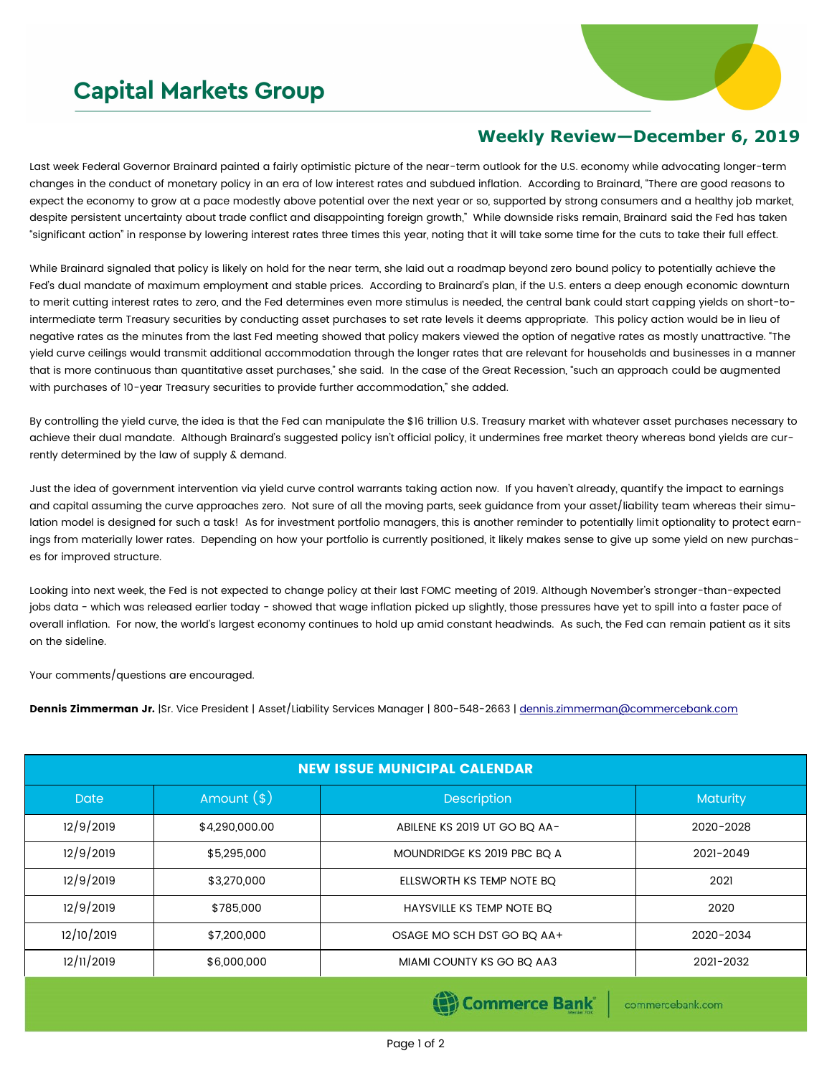## **Capital Markets Group**



## **Weekly Review—December 6, 2019**

Last week Federal Governor Brainard painted a fairly optimistic picture of the near-term outlook for the U.S. economy while advocating longer-term changes in the conduct of monetary policy in an era of low interest rates and subdued inflation. According to Brainard, "There are good reasons to expect the economy to grow at a pace modestly above potential over the next year or so, supported by strong consumers and a healthy job market, despite persistent uncertainty about trade conflict and disappointing foreign growth," While downside risks remain, Brainard said the Fed has taken "significant action" in response by lowering interest rates three times this year, noting that it will take some time for the cuts to take their full effect.

While Brainard signaled that policy is likely on hold for the near term, she laid out a roadmap beyond zero bound policy to potentially achieve the Fed's dual mandate of maximum employment and stable prices. According to Brainard's plan, if the U.S. enters a deep enough economic downturn to merit cutting interest rates to zero, and the Fed determines even more stimulus is needed, the central bank could start capping yields on short-tointermediate term Treasury securities by conducting asset purchases to set rate levels it deems appropriate. This policy action would be in lieu of negative rates as the minutes from the last Fed meeting showed that policy makers viewed the option of negative rates as mostly unattractive. "The yield curve ceilings would transmit additional accommodation through the longer rates that are relevant for households and businesses in a manner that is more continuous than quantitative asset purchases," she said. In the case of the Great Recession, "such an approach could be augmented with purchases of 10-year Treasury securities to provide further accommodation," she added.

By controlling the yield curve, the idea is that the Fed can manipulate the \$16 trillion U.S. Treasury market with whatever asset purchases necessary to achieve their dual mandate. Although Brainard's suggested policy isn't official policy, it undermines free market theory whereas bond yields are currently determined by the law of supply & demand.

Just the idea of government intervention via yield curve control warrants taking action now. If you haven't already, quantify the impact to earnings and capital assuming the curve approaches zero. Not sure of all the moving parts, seek guidance from your asset/liability team whereas their simulation model is designed for such a task! As for investment portfolio managers, this is another reminder to potentially limit optionality to protect earnings from materially lower rates. Depending on how your portfolio is currently positioned, it likely makes sense to give up some yield on new purchases for improved structure.

Looking into next week, the Fed is not expected to change policy at their last FOMC meeting of 2019. Although November's stronger-than-expected jobs data - which was released earlier today - showed that wage inflation picked up slightly, those pressures have yet to spill into a faster pace of overall inflation. For now, the world's largest economy continues to hold up amid constant headwinds. As such, the Fed can remain patient as it sits on the sideline.

Your comments/questions are encouraged.

Dennis Zimmerman Jr. |Sr. Vice President | Asset/Liability Services Manager | 800-548-2663 | [dennis.zimmerman@commercebank.com](mailto:Dennis.Zimmerman@commercebank.com)

| <b>NEW ISSUE MUNICIPAL CALENDAR</b> |                |                              |                 |  |  |
|-------------------------------------|----------------|------------------------------|-----------------|--|--|
| Date,                               | Amount $(*)$   | <b>Description</b>           | <b>Maturity</b> |  |  |
| 12/9/2019                           | \$4,290,000.00 | ABILENE KS 2019 UT GO BQ AA- | 2020-2028       |  |  |
| 12/9/2019                           | \$5,295,000    | MOUNDRIDGE KS 2019 PBC BQ A  | 2021-2049       |  |  |
| 12/9/2019                           | \$3,270,000    | ELLSWORTH KS TEMP NOTE BQ    | 2021            |  |  |
| 12/9/2019                           | \$785,000      | HAYSVILLE KS TEMP NOTE BQ    | 2020            |  |  |
| 12/10/2019                          | \$7,200,000    | OSAGE MO SCH DST GO BQ AA+   | 2020-2034       |  |  |
| 12/11/2019                          | \$6,000,000    | MIAMI COUNTY KS GO BO AA3    | 2021-2032       |  |  |

Commerce Bank

commercebank.com